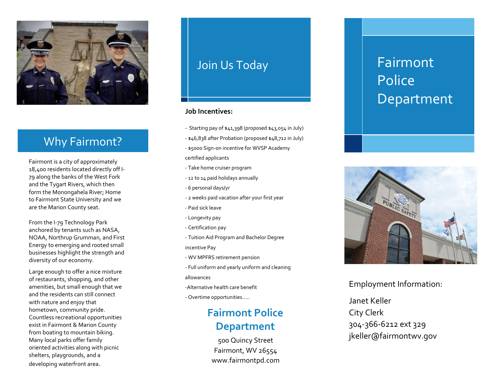

#### Why Why Fairmont?

Fairmont i s a city of approximately Fairmont is a city of approximately<br>18,400 residents located directly off I-79 along the banks of the West Fork 79 along the banks of the West Foi<br>and the Tygart Rivers, which then form the Monongahela River; Home to Fairmont State University and we are the Marion County seat.

From the I -79 Technology Park anchored by tenants such as NASA , NOAA, Northrup Grumman, and First Energy to emerging and rooted small businesses highlight the strength and diversity of our economy.

Large enough to offer a nice mixture of restaurants, shopping, and other amenities, but small enough that we and the residents can still connect with nature and enjoy that hometown, community pride. Countless recreational opportunities exist in Fairmont & Marion County from boating to mountain biking. Many local parks offer family oriented activities along with picnic shelters , playgrounds, and a developing waterfront area.

### Join Us Today

#### **Job Incentives:**

- Starting pay of \$41,398 (proposed \$43,054 in July)
- \$46,838 after Probation (proposed \$48,712 in July)
- \$5000 Sign-on incentive for WVSP Academy certified applicants
- Take home cruiser program
- 12 to 14 paid holidays annually
- 6 personal days/yr
- 2 weeks paid vacation after your first year<br>- Paid sick leave
- 
- Longevity pay
- Certification pay
- Tuition Aid Program and Bachelor Degree incentive Pay
- WV MPFRS retirement pension
- Full uniform and yearly uniform and cleaning allowances
- 
- -Alternative health care benefit
- Overtime opportunities…..

#### **Fairmont Police Department**

500 Quincy Street Fairmont, WV 26554 www.fairmontpd.com

# Fairmont Police Department



Employment Information:

Janet Keller City Clerk 304 -366 -6212 ext 329 jkeller@fairmontwv.gov